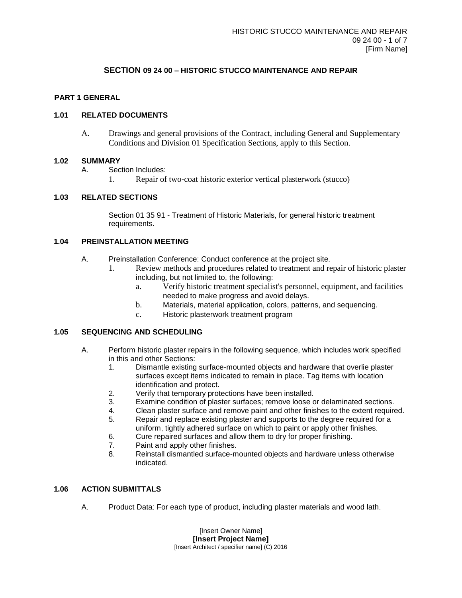# **SECTION 09 24 00 – HISTORIC STUCCO MAINTENANCE AND REPAIR**

## **PART 1 GENERAL**

## **1.01 RELATED DOCUMENTS**

A. Drawings and general provisions of the Contract, including General and Supplementary Conditions and Division 01 Specification Sections, apply to this Section.

### **1.02 SUMMARY**

- A. Section Includes:
	- 1. Repair of two-coat historic exterior vertical plasterwork (stucco)

### **1.03 RELATED SECTIONS**

Section 01 35 91 - Treatment of Historic Materials, for general historic treatment requirements.

## **1.04 PREINSTALLATION MEETING**

- A. Preinstallation Conference: Conduct conference at the project site.
	- 1. Review methods and procedures related to treatment and repair of historic plaster including, but not limited to, the following:
		- a. Verify historic treatment specialist's personnel, equipment, and facilities needed to make progress and avoid delays.
		- b. Materials, material application, colors, patterns, and sequencing.
		- c. Historic plasterwork treatment program

## **1.05 SEQUENCING AND SCHEDULING**

- A. Perform historic plaster repairs in the following sequence, which includes work specified in this and other Sections:
	- 1. Dismantle existing surface-mounted objects and hardware that overlie plaster surfaces except items indicated to remain in place. Tag items with location identification and protect.
	- 2. Verify that temporary protections have been installed.
	- 3. Examine condition of plaster surfaces; remove loose or delaminated sections.
	- 4. Clean plaster surface and remove paint and other finishes to the extent required.
	- 5. Repair and replace existing plaster and supports to the degree required for a uniform, tightly adhered surface on which to paint or apply other finishes.
	- 6. Cure repaired surfaces and allow them to dry for proper finishing.
	- 7. Paint and apply other finishes.
	- 8. Reinstall dismantled surface-mounted objects and hardware unless otherwise indicated.

#### **1.06 ACTION SUBMITTALS**

A. Product Data: For each type of product, including plaster materials and wood lath.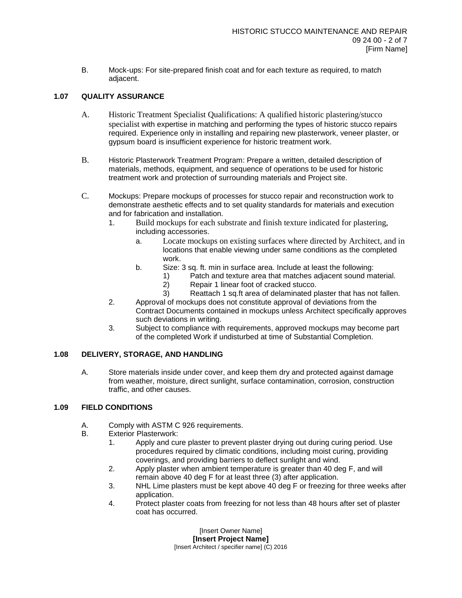B. Mock-ups: For site-prepared finish coat and for each texture as required, to match adjacent.

## **1.07 QUALITY ASSURANCE**

- A. Historic Treatment Specialist Qualifications: A qualified historic plastering/stucco specialist with expertise in matching and performing the types of historic stucco repairs required. Experience only in installing and repairing new plasterwork, veneer plaster, or gypsum board is insufficient experience for historic treatment work.
- B. Historic Plasterwork Treatment Program: Prepare a written, detailed description of materials, methods, equipment, and sequence of operations to be used for historic treatment work and protection of surrounding materials and Project site.
- C. Mockups: Prepare mockups of processes for stucco repair and reconstruction work to demonstrate aesthetic effects and to set quality standards for materials and execution and for fabrication and installation.
	- 1. Build mockups for each substrate and finish texture indicated for plastering, including accessories.
		- a. Locate mockups on existing surfaces where directed by Architect, and in locations that enable viewing under same conditions as the completed work.
		- b. Size: 3 sq. ft. min in surface area. Include at least the following:
			- 1) Patch and texture area that matches adjacent sound material.
			- 2) Repair 1 linear foot of cracked stucco.
			- 3) Reattach 1 sq.ft area of delaminated plaster that has not fallen.
	- 2. Approval of mockups does not constitute approval of deviations from the Contract Documents contained in mockups unless Architect specifically approves such deviations in writing.
	- 3. Subject to compliance with requirements, approved mockups may become part of the completed Work if undisturbed at time of Substantial Completion.

## **1.08 DELIVERY, STORAGE, AND HANDLING**

A. Store materials inside under cover, and keep them dry and protected against damage from weather, moisture, direct sunlight, surface contamination, corrosion, construction traffic, and other causes.

## **1.09 FIELD CONDITIONS**

- A. Comply with ASTM C 926 requirements.
- B. Exterior Plasterwork:
	- 1. Apply and cure plaster to prevent plaster drying out during curing period. Use procedures required by climatic conditions, including moist curing, providing coverings, and providing barriers to deflect sunlight and wind.
	- 2. Apply plaster when ambient temperature is greater than 40 deg F, and will remain above 40 deg F for at least three (3) after application.
	- 3. NHL Lime plasters must be kept above 40 deg F or freezing for three weeks after application.
	- 4. Protect plaster coats from freezing for not less than 48 hours after set of plaster coat has occurred.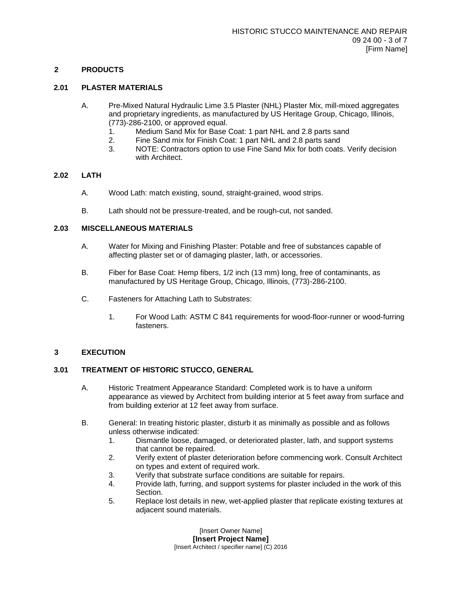## **2 PRODUCTS**

## **2.01 PLASTER MATERIALS**

- A. Pre-Mixed Natural Hydraulic Lime 3.5 Plaster (NHL) Plaster Mix, mill-mixed aggregates and proprietary ingredients, as manufactured by US Heritage Group, Chicago, Illinois, (773)-286-2100, or approved equal.
	- 1. Medium Sand Mix for Base Coat: 1 part NHL and 2.8 parts sand
	- 2. Fine Sand mix for Finish Coat: 1 part NHL and 2.8 parts sand
	- 3. NOTE: Contractors option to use Fine Sand Mix for both coats. Verify decision with Architect.

#### **2.02 LATH**

- A. Wood Lath: match existing, sound, straight-grained, wood strips.
- B. Lath should not be pressure-treated, and be rough-cut, not sanded.

## **2.03 MISCELLANEOUS MATERIALS**

- A. Water for Mixing and Finishing Plaster: Potable and free of substances capable of affecting plaster set or of damaging plaster, lath, or accessories.
- B. Fiber for Base Coat: Hemp fibers, 1/2 inch (13 mm) long, free of contaminants, as manufactured by US Heritage Group, Chicago, Illinois, (773)-286-2100.
- C. Fasteners for Attaching Lath to Substrates:
	- 1. For Wood Lath: ASTM C 841 requirements for wood-floor-runner or wood-furring fasteners.

## **3 EXECUTION**

#### **3.01 TREATMENT OF HISTORIC STUCCO, GENERAL**

- A. Historic Treatment Appearance Standard: Completed work is to have a uniform appearance as viewed by Architect from building interior at 5 feet away from surface and from building exterior at 12 feet away from surface.
- B. General: In treating historic plaster, disturb it as minimally as possible and as follows unless otherwise indicated:
	- 1. Dismantle loose, damaged, or deteriorated plaster, lath, and support systems that cannot be repaired.
	- 2. Verify extent of plaster deterioration before commencing work. Consult Architect on types and extent of required work.
	- 3. Verify that substrate surface conditions are suitable for repairs.
	- 4. Provide lath, furring, and support systems for plaster included in the work of this Section.
	- 5. Replace lost details in new, wet-applied plaster that replicate existing textures at adjacent sound materials.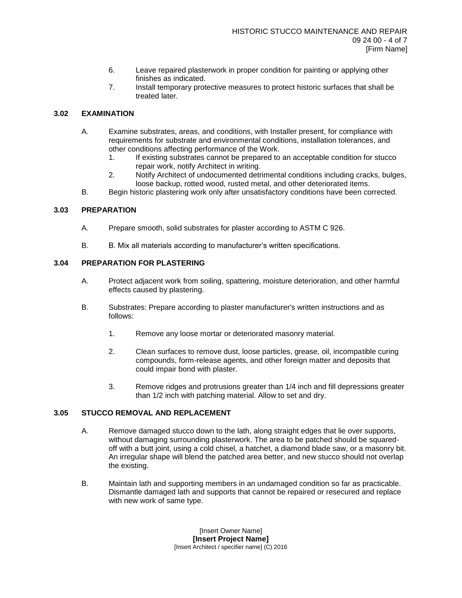- 6. Leave repaired plasterwork in proper condition for painting or applying other finishes as indicated.
- 7. Install temporary protective measures to protect historic surfaces that shall be treated later.

## **3.02 EXAMINATION**

- A. Examine substrates, areas, and conditions, with Installer present, for compliance with requirements for substrate and environmental conditions, installation tolerances, and other conditions affecting performance of the Work.
	- 1. If existing substrates cannot be prepared to an acceptable condition for stucco repair work, notify Architect in writing.
	- 2. Notify Architect of undocumented detrimental conditions including cracks, bulges, loose backup, rotted wood, rusted metal, and other deteriorated items.
- B. Begin historic plastering work only after unsatisfactory conditions have been corrected.

### **3.03 PREPARATION**

- A. Prepare smooth, solid substrates for plaster according to ASTM C 926.
- B. B. Mix all materials according to manufacturer's written specifications.

## **3.04 PREPARATION FOR PLASTERING**

- A. Protect adjacent work from soiling, spattering, moisture deterioration, and other harmful effects caused by plastering.
- B. Substrates: Prepare according to plaster manufacturer's written instructions and as follows:
	- 1. Remove any loose mortar or deteriorated masonry material.
	- 2. Clean surfaces to remove dust, loose particles, grease, oil, incompatible curing compounds, form-release agents, and other foreign matter and deposits that could impair bond with plaster.
	- 3. Remove ridges and protrusions greater than 1/4 inch and fill depressions greater than 1/2 inch with patching material. Allow to set and dry.

#### **3.05 STUCCO REMOVAL AND REPLACEMENT**

- A. Remove damaged stucco down to the lath, along straight edges that lie over supports, without damaging surrounding plasterwork. The area to be patched should be squaredoff with a butt joint, using a cold chisel, a hatchet, a diamond blade saw, or a masonry bit. An irregular shape will blend the patched area better, and new stucco should not overlap the existing.
- B. Maintain lath and supporting members in an undamaged condition so far as practicable. Dismantle damaged lath and supports that cannot be repaired or resecured and replace with new work of same type.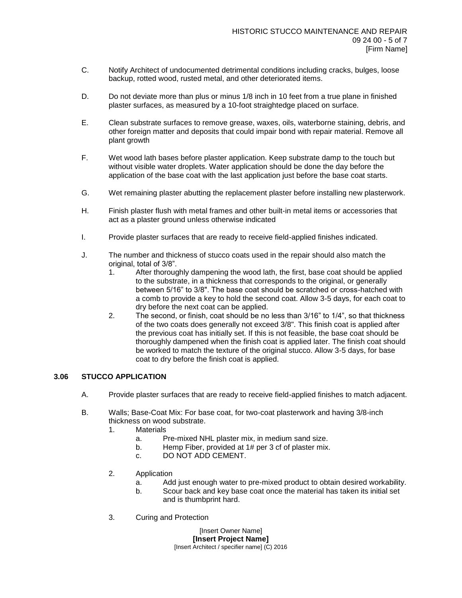- C. Notify Architect of undocumented detrimental conditions including cracks, bulges, loose backup, rotted wood, rusted metal, and other deteriorated items.
- D. Do not deviate more than plus or minus 1/8 inch in 10 feet from a true plane in finished plaster surfaces, as measured by a 10-foot straightedge placed on surface.
- E. Clean substrate surfaces to remove grease, waxes, oils, waterborne staining, debris, and other foreign matter and deposits that could impair bond with repair material. Remove all plant growth
- F. Wet wood lath bases before plaster application. Keep substrate damp to the touch but without visible water droplets. Water application should be done the day before the application of the base coat with the last application just before the base coat starts.
- G. Wet remaining plaster abutting the replacement plaster before installing new plasterwork.
- H. Finish plaster flush with metal frames and other built-in metal items or accessories that act as a plaster ground unless otherwise indicated
- I. Provide plaster surfaces that are ready to receive field-applied finishes indicated.
- J. The number and thickness of stucco coats used in the repair should also match the original, total of 3/8".
	- 1. After thoroughly dampening the wood lath, the first, base coat should be applied to the substrate, in a thickness that corresponds to the original, or generally between 5/16" to 3/8". The base coat should be scratched or cross-hatched with a comb to provide a key to hold the second coat. Allow 3-5 days, for each coat to dry before the next coat can be applied.
	- 2. The second, or finish, coat should be no less than 3/16" to 1/4", so that thickness of the two coats does generally not exceed 3/8". This finish coat is applied after the previous coat has initially set. If this is not feasible, the base coat should be thoroughly dampened when the finish coat is applied later. The finish coat should be worked to match the texture of the original stucco. Allow 3-5 days, for base coat to dry before the finish coat is applied.

#### **3.06 STUCCO APPLICATION**

- A. Provide plaster surfaces that are ready to receive field-applied finishes to match adjacent.
- B. Walls; Base-Coat Mix: For base coat, for two-coat plasterwork and having 3/8-inch thickness on wood substrate.
	- 1. Materials
		- a. Pre-mixed NHL plaster mix, in medium sand size.
		- b. Hemp Fiber, provided at 1# per 3 cf of plaster mix.
		- c. DO NOT ADD CEMENT.
	- 2. Application
		- a. Add just enough water to pre-mixed product to obtain desired workability.
		- b. Scour back and key base coat once the material has taken its initial set and is thumbprint hard.
	- 3. Curing and Protection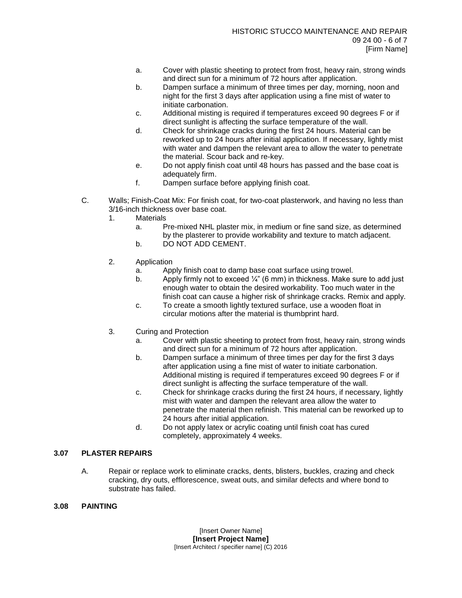- a. Cover with plastic sheeting to protect from frost, heavy rain, strong winds and direct sun for a minimum of 72 hours after application.
- b. Dampen surface a minimum of three times per day, morning, noon and night for the first 3 days after application using a fine mist of water to initiate carbonation.
- c. Additional misting is required if temperatures exceed 90 degrees F or if direct sunlight is affecting the surface temperature of the wall.
- d. Check for shrinkage cracks during the first 24 hours. Material can be reworked up to 24 hours after initial application. If necessary, lightly mist with water and dampen the relevant area to allow the water to penetrate the material. Scour back and re-key.
- e. Do not apply finish coat until 48 hours has passed and the base coat is adequately firm.
- f. Dampen surface before applying finish coat.
- C. Walls; Finish-Coat Mix: For finish coat, for two-coat plasterwork, and having no less than 3/16-inch thickness over base coat.
	- 1. Materials
		- a. Pre-mixed NHL plaster mix, in medium or fine sand size, as determined by the plasterer to provide workability and texture to match adjacent.
		- b. DO NOT ADD CEMENT.
	- 2. Application
		- a. Apply finish coat to damp base coat surface using trowel.
		- b. Apply firmly not to exceed  $\frac{1}{4}$ " (6 mm) in thickness. Make sure to add just enough water to obtain the desired workability. Too much water in the finish coat can cause a higher risk of shrinkage cracks. Remix and apply.
		- c. To create a smooth lightly textured surface, use a wooden float in circular motions after the material is thumbprint hard.
	- 3. Curing and Protection
		- a. Cover with plastic sheeting to protect from frost, heavy rain, strong winds and direct sun for a minimum of 72 hours after application.
		- b. Dampen surface a minimum of three times per day for the first 3 days after application using a fine mist of water to initiate carbonation. Additional misting is required if temperatures exceed 90 degrees F or if direct sunlight is affecting the surface temperature of the wall.
		- c. Check for shrinkage cracks during the first 24 hours, if necessary, lightly mist with water and dampen the relevant area allow the water to penetrate the material then refinish. This material can be reworked up to 24 hours after initial application.
		- d. Do not apply latex or acrylic coating until finish coat has cured completely, approximately 4 weeks.

### **3.07 PLASTER REPAIRS**

A. Repair or replace work to eliminate cracks, dents, blisters, buckles, crazing and check cracking, dry outs, efflorescence, sweat outs, and similar defects and where bond to substrate has failed.

### **3.08 PAINTING**